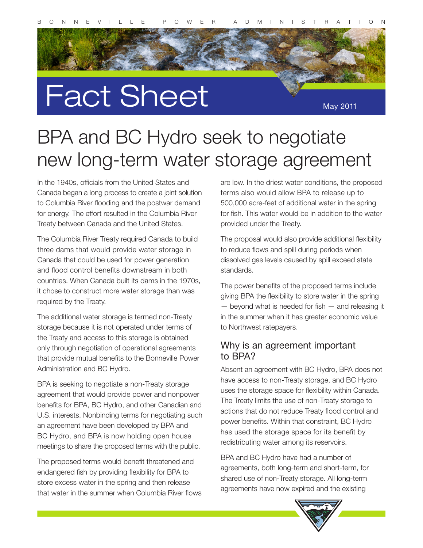

# Fact Sheet

May 2011

# new long-term water storage agreement BPA and BC Hydro seek to negotiate

for energy. The effort resulted in the Columbia River<br>Treaty between Canada and the United States.<br>The Columbia River Treaty results Canada to build In the 1940s, officials from the United States and Canada began a long process to create a joint solution to Columbia River flooding and the postwar demand Treaty between Canada and the United States.

untries. When Canada built its dams in the 1970s,<br>hose to construct more water storage than was The Columbia River Treaty required Canada to build three dams that would provide water storage in Canada that could be used for power generation and flood control benefits downstream in both countries. When Canada built its dams in the 1970s, it chose to construct more water storage than was required by the Treaty.

the Ireaty and access to this storage is obtained<br>only through negotiation of operational agreements<br>that provide mutual benefits to the Bonneville Power The additional water storage is termed non-Treaty storage because it is not operated under terms of the Treaty and access to this storage is obtained only through negotiation of operational agreements Administration and BC Hydro.

nefits for BPA, BC Hydro, and other Canadian and<br>S. interests. Nonbinding terms for negotiating such<br>agreement have been developed by BPA and BPA is seeking to negotiate a non-Treaty storage agreement that would provide power and nonpower benefits for BPA, BC Hydro, and other Canadian and U.S. interests. Nonbinding terms for negotiating such an agreement have been developed by BPA and BC Hydro, and BPA is now holding open house meetings to share the proposed terms with the public.

dangered fish by providing flexibility for BPA to<br>the excess water in the spring and then release The proposed terms would benefit threatened and endangered fish by providing flexibility for BPA to store excess water in the spring and then release that water in the summer when Columbia River flows

are low. In the driest water conditions, the proposed terms also would allow BPA to release up to 500,000 acre-feet of additional water in the spring for fish. This water would be in addition to the water provided under the Treaty.

The proposal would also provide additional flexibility to reduce flows and spill during periods when dissolved gas levels caused by spill exceed state standards.

The power benefits of the proposed terms include giving BPA the flexibility to store water in the spring — beyond what is needed for fish — and releasing it in the summer when it has greater economic value to Northwest ratepayers.

#### Why is an agreement important to BPA?

Absent an agreement with BC Hydro, BPA does not have access to non-Treaty storage, and BC Hydro uses the storage space for flexibility within Canada. The Treaty limits the use of non-Treaty storage to actions that do not reduce Treaty flood control and power benefits. Within that constraint, BC Hydro has used the storage space for its benefit by redistributing water among its reservoirs.

BPA and BC Hydro have had a number of agreements, both long-term and short-term, for shared use of non-Treaty storage. All long-term agreements have now expired and the existing